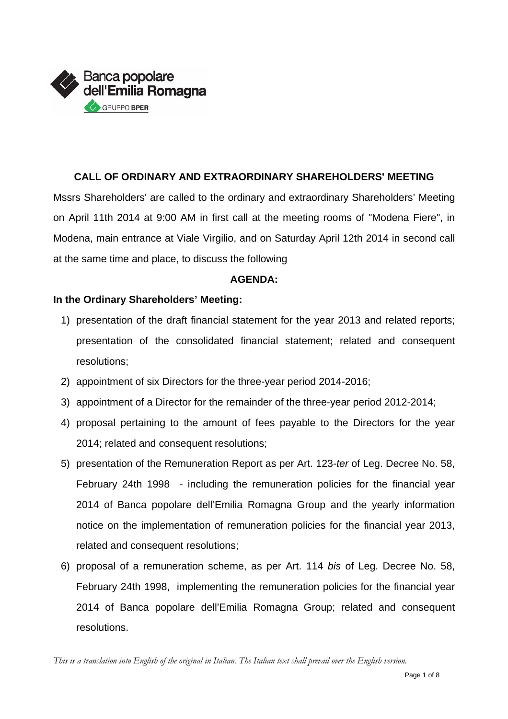

# **CALL OF ORDINARY AND EXTRAORDINARY SHAREHOLDERS' MEETING**

Mssrs Shareholders' are called to the ordinary and extraordinary Shareholders' Meeting on April 11th 2014 at 9:00 AM in first call at the meeting rooms of "Modena Fiere", in Modena, main entrance at Viale Virgilio, and on Saturday April 12th 2014 in second call at the same time and place, to discuss the following

## **AGENDA:**

# **In the Ordinary Shareholders' Meeting:**

- 1) presentation of the draft financial statement for the year 2013 and related reports; presentation of the consolidated financial statement; related and consequent resolutions;
- 2) appointment of six Directors for the three-year period 2014-2016;
- 3) appointment of a Director for the remainder of the three-year period 2012-2014;
- 4) proposal pertaining to the amount of fees payable to the Directors for the year 2014; related and consequent resolutions;
- 5) presentation of the Remuneration Report as per Art. 123-*ter* of Leg. Decree No. 58, February 24th 1998 - including the remuneration policies for the financial year 2014 of Banca popolare dell'Emilia Romagna Group and the yearly information notice on the implementation of remuneration policies for the financial year 2013, related and consequent resolutions;
- 6) proposal of a remuneration scheme, as per Art. 114 *bis* of Leg. Decree No. 58, February 24th 1998, implementing the remuneration policies for the financial year 2014 of Banca popolare dell'Emilia Romagna Group; related and consequent resolutions.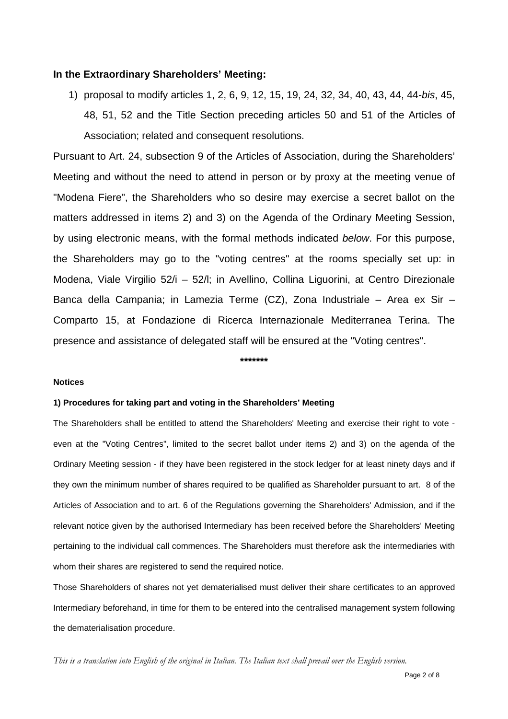### **In the Extraordinary Shareholders' Meeting:**

1) proposal to modify articles 1, 2, 6, 9, 12, 15, 19, 24, 32, 34, 40, 43, 44, 44-*bis*, 45, 48, 51, 52 and the Title Section preceding articles 50 and 51 of the Articles of Association; related and consequent resolutions.

Pursuant to Art. 24, subsection 9 of the Articles of Association, during the Shareholders' Meeting and without the need to attend in person or by proxy at the meeting venue of "Modena Fiere", the Shareholders who so desire may exercise a secret ballot on the matters addressed in items 2) and 3) on the Agenda of the Ordinary Meeting Session, by using electronic means, with the formal methods indicated *below*. For this purpose, the Shareholders may go to the "voting centres" at the rooms specially set up: in Modena, Viale Virgilio 52/i – 52/l; in Avellino, Collina Liguorini, at Centro Direzionale Banca della Campania; in Lamezia Terme (CZ), Zona Industriale – Area ex Sir – Comparto 15, at Fondazione di Ricerca Internazionale Mediterranea Terina. The presence and assistance of delegated staff will be ensured at the "Voting centres".

### **\*\*\*\*\*\*\***

#### **Notices**

### **1) Procedures for taking part and voting in the Shareholders' Meeting**

The Shareholders shall be entitled to attend the Shareholders' Meeting and exercise their right to vote even at the "Voting Centres", limited to the secret ballot under items 2) and 3) on the agenda of the Ordinary Meeting session - if they have been registered in the stock ledger for at least ninety days and if they own the minimum number of shares required to be qualified as Shareholder pursuant to art. 8 of the Articles of Association and to art. 6 of the Regulations governing the Shareholders' Admission, and if the relevant notice given by the authorised Intermediary has been received before the Shareholders' Meeting pertaining to the individual call commences. The Shareholders must therefore ask the intermediaries with whom their shares are registered to send the required notice.

Those Shareholders of shares not yet dematerialised must deliver their share certificates to an approved Intermediary beforehand, in time for them to be entered into the centralised management system following the dematerialisation procedure.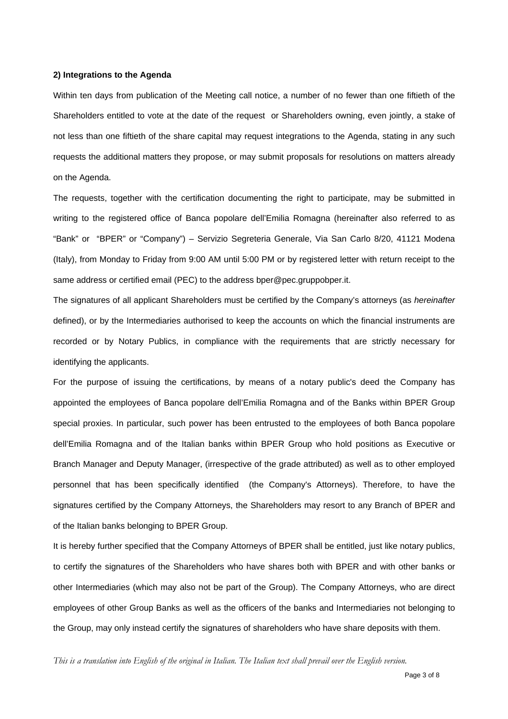#### **2) Integrations to the Agenda**

Within ten days from publication of the Meeting call notice, a number of no fewer than one fiftieth of the Shareholders entitled to vote at the date of the request or Shareholders owning, even jointly, a stake of not less than one fiftieth of the share capital may request integrations to the Agenda, stating in any such requests the additional matters they propose, or may submit proposals for resolutions on matters already on the Agenda.

The requests, together with the certification documenting the right to participate, may be submitted in writing to the registered office of Banca popolare dell'Emilia Romagna (hereinafter also referred to as "Bank" or "BPER" or "Company") – Servizio Segreteria Generale, Via San Carlo 8/20, 41121 Modena (Italy), from Monday to Friday from 9:00 AM until 5:00 PM or by registered letter with return receipt to the same address or certified email (PEC) to the address bper@pec.gruppobper.it.

The signatures of all applicant Shareholders must be certified by the Company's attorneys (as *hereinafter* defined), or by the Intermediaries authorised to keep the accounts on which the financial instruments are recorded or by Notary Publics, in compliance with the requirements that are strictly necessary for identifying the applicants.

For the purpose of issuing the certifications, by means of a notary public's deed the Company has appointed the employees of Banca popolare dell'Emilia Romagna and of the Banks within BPER Group special proxies. In particular, such power has been entrusted to the employees of both Banca popolare dell'Emilia Romagna and of the Italian banks within BPER Group who hold positions as Executive or Branch Manager and Deputy Manager, (irrespective of the grade attributed) as well as to other employed personnel that has been specifically identified (the Company's Attorneys). Therefore, to have the signatures certified by the Company Attorneys, the Shareholders may resort to any Branch of BPER and of the Italian banks belonging to BPER Group.

It is hereby further specified that the Company Attorneys of BPER shall be entitled, just like notary publics, to certify the signatures of the Shareholders who have shares both with BPER and with other banks or other Intermediaries (which may also not be part of the Group). The Company Attorneys, who are direct employees of other Group Banks as well as the officers of the banks and Intermediaries not belonging to the Group, may only instead certify the signatures of shareholders who have share deposits with them.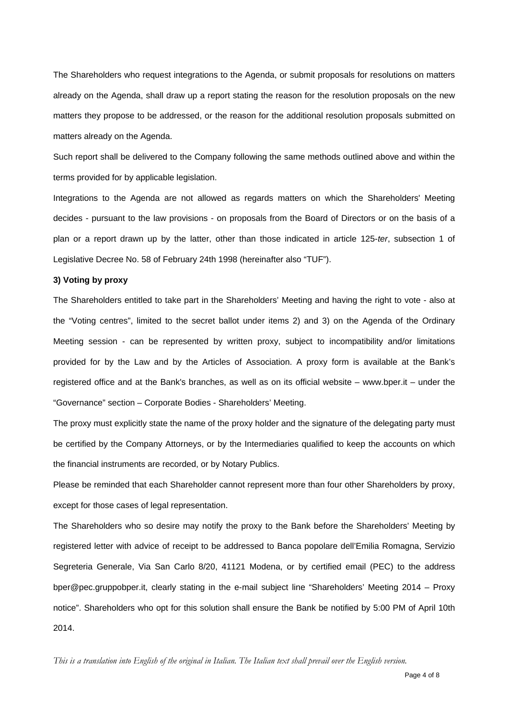The Shareholders who request integrations to the Agenda, or submit proposals for resolutions on matters already on the Agenda, shall draw up a report stating the reason for the resolution proposals on the new matters they propose to be addressed, or the reason for the additional resolution proposals submitted on matters already on the Agenda.

Such report shall be delivered to the Company following the same methods outlined above and within the terms provided for by applicable legislation.

Integrations to the Agenda are not allowed as regards matters on which the Shareholders' Meeting decides - pursuant to the law provisions - on proposals from the Board of Directors or on the basis of a plan or a report drawn up by the latter, other than those indicated in article 125-*ter*, subsection 1 of Legislative Decree No. 58 of February 24th 1998 (hereinafter also "TUF").

#### **3) Voting by proxy**

The Shareholders entitled to take part in the Shareholders' Meeting and having the right to vote - also at the "Voting centres", limited to the secret ballot under items 2) and 3) on the Agenda of the Ordinary Meeting session - can be represented by written proxy, subject to incompatibility and/or limitations provided for by the Law and by the Articles of Association. A proxy form is available at the Bank's registered office and at the Bank's branches, as well as on its official website – www.bper.it – under the "Governance" section – Corporate Bodies - Shareholders' Meeting.

The proxy must explicitly state the name of the proxy holder and the signature of the delegating party must be certified by the Company Attorneys, or by the Intermediaries qualified to keep the accounts on which the financial instruments are recorded, or by Notary Publics.

Please be reminded that each Shareholder cannot represent more than four other Shareholders by proxy, except for those cases of legal representation.

The Shareholders who so desire may notify the proxy to the Bank before the Shareholders' Meeting by registered letter with advice of receipt to be addressed to Banca popolare dell'Emilia Romagna, Servizio Segreteria Generale, Via San Carlo 8/20, 41121 Modena, or by certified email (PEC) to the address bper@pec.gruppobper.it, clearly stating in the e-mail subject line "Shareholders' Meeting 2014 – Proxy notice". Shareholders who opt for this solution shall ensure the Bank be notified by 5:00 PM of April 10th 2014.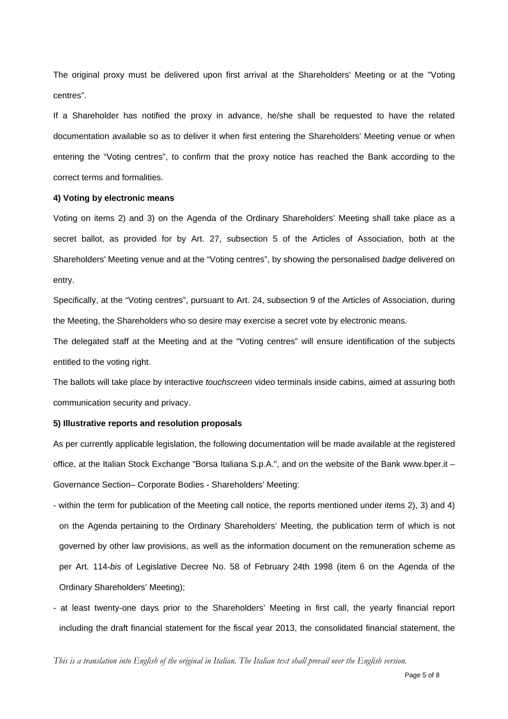The original proxy must be delivered upon first arrival at the Shareholders' Meeting or at the "Voting centres".

If a Shareholder has notified the proxy in advance, he/she shall be requested to have the related documentation available so as to deliver it when first entering the Shareholders' Meeting venue or when entering the "Voting centres", to confirm that the proxy notice has reached the Bank according to the correct terms and formalities.

#### **4) Voting by electronic means**

Voting on items 2) and 3) on the Agenda of the Ordinary Shareholders' Meeting shall take place as a secret ballot, as provided for by Art. 27, subsection 5 of the Articles of Association, both at the Shareholders' Meeting venue and at the "Voting centres", by showing the personalised *badge* delivered on entry.

Specifically, at the "Voting centres", pursuant to Art. 24, subsection 9 of the Articles of Association, during the Meeting, the Shareholders who so desire may exercise a secret vote by electronic means.

The delegated staff at the Meeting and at the "Voting centres" will ensure identification of the subjects entitled to the voting right.

The ballots will take place by interactive *touchscreen* video terminals inside cabins, aimed at assuring both communication security and privacy.

#### **5) Illustrative reports and resolution proposals**

As per currently applicable legislation, the following documentation will be made available at the registered office, at the Italian Stock Exchange "Borsa Italiana S.p.A.", and on the website of the Bank www.bper.it – Governance Section– Corporate Bodies - Shareholders' Meeting:

- within the term for publication of the Meeting call notice, the reports mentioned under items 2), 3) and 4) on the Agenda pertaining to the Ordinary Shareholders' Meeting, the publication term of which is not governed by other law provisions, as well as the information document on the remuneration scheme as per Art. 114-*bis* of Legislative Decree No. 58 of February 24th 1998 (item 6 on the Agenda of the Ordinary Shareholders' Meeting);

- at least twenty-one days prior to the Shareholders' Meeting in first call, the yearly financial report including the draft financial statement for the fiscal year 2013, the consolidated financial statement, the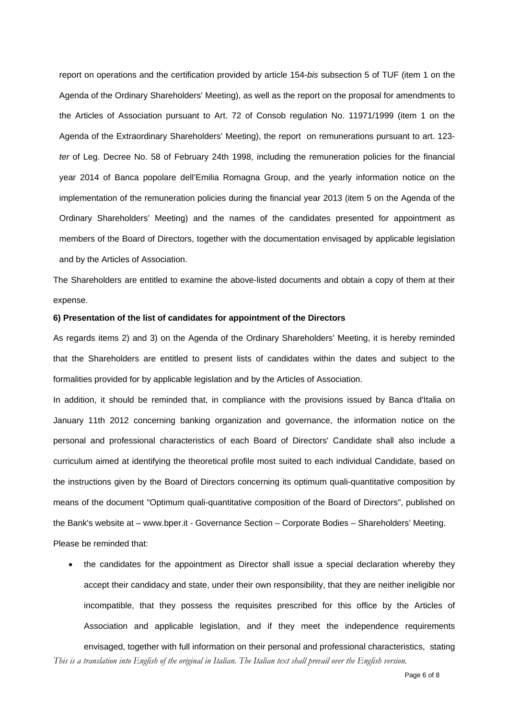report on operations and the certification provided by article 154-*bis* subsection 5 of TUF (item 1 on the Agenda of the Ordinary Shareholders' Meeting), as well as the report on the proposal for amendments to the Articles of Association pursuant to Art. 72 of Consob regulation No. 11971/1999 (item 1 on the Agenda of the Extraordinary Shareholders' Meeting), the report on remunerations pursuant to art. 123 *ter* of Leg. Decree No. 58 of February 24th 1998, including the remuneration policies for the financial year 2014 of Banca popolare dell'Emilia Romagna Group, and the yearly information notice on the implementation of the remuneration policies during the financial year 2013 (item 5 on the Agenda of the Ordinary Shareholders' Meeting) and the names of the candidates presented for appointment as members of the Board of Directors, together with the documentation envisaged by applicable legislation and by the Articles of Association.

The Shareholders are entitled to examine the above-listed documents and obtain a copy of them at their expense.

#### **6) Presentation of the list of candidates for appointment of the Directors**

As regards items 2) and 3) on the Agenda of the Ordinary Shareholders' Meeting, it is hereby reminded that the Shareholders are entitled to present lists of candidates within the dates and subject to the formalities provided for by applicable legislation and by the Articles of Association.

In addition, it should be reminded that, in compliance with the provisions issued by Banca d'Italia on January 11th 2012 concerning banking organization and governance, the information notice on the personal and professional characteristics of each Board of Directors' Candidate shall also include a curriculum aimed at identifying the theoretical profile most suited to each individual Candidate, based on the instructions given by the Board of Directors concerning its optimum quali-quantitative composition by means of the document "Optimum quali-quantitative composition of the Board of Directors", published on the Bank's website at – www.bper.it - Governance Section – Corporate Bodies – Shareholders' Meeting. Please be reminded that:

 the candidates for the appointment as Director shall issue a special declaration whereby they accept their candidacy and state, under their own responsibility, that they are neither ineligible nor incompatible, that they possess the requisites prescribed for this office by the Articles of Association and applicable legislation, and if they meet the independence requirements envisaged, together with full information on their personal and professional characteristics, stating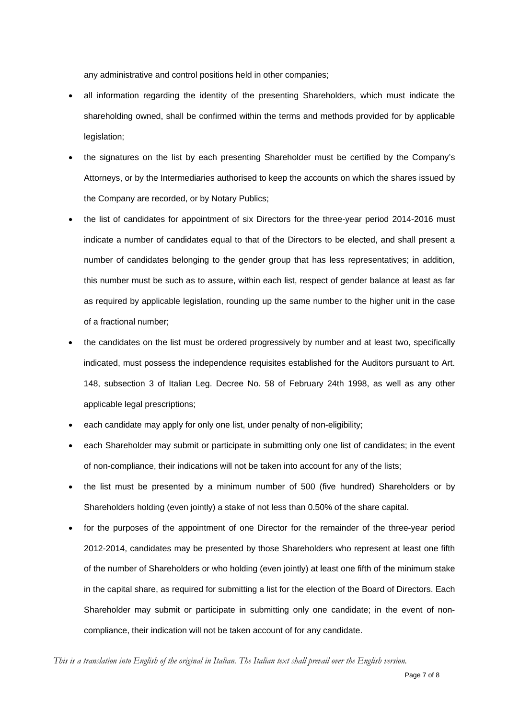any administrative and control positions held in other companies;

- all information regarding the identity of the presenting Shareholders, which must indicate the shareholding owned, shall be confirmed within the terms and methods provided for by applicable legislation;
- the signatures on the list by each presenting Shareholder must be certified by the Company's Attorneys, or by the Intermediaries authorised to keep the accounts on which the shares issued by the Company are recorded, or by Notary Publics;
- the list of candidates for appointment of six Directors for the three-year period 2014-2016 must indicate a number of candidates equal to that of the Directors to be elected, and shall present a number of candidates belonging to the gender group that has less representatives; in addition, this number must be such as to assure, within each list, respect of gender balance at least as far as required by applicable legislation, rounding up the same number to the higher unit in the case of a fractional number;
- the candidates on the list must be ordered progressively by number and at least two, specifically indicated, must possess the independence requisites established for the Auditors pursuant to Art. 148, subsection 3 of Italian Leg. Decree No. 58 of February 24th 1998, as well as any other applicable legal prescriptions;
- each candidate may apply for only one list, under penalty of non-eligibility;
- each Shareholder may submit or participate in submitting only one list of candidates; in the event of non-compliance, their indications will not be taken into account for any of the lists;
- the list must be presented by a minimum number of 500 (five hundred) Shareholders or by Shareholders holding (even jointly) a stake of not less than 0.50% of the share capital.
- for the purposes of the appointment of one Director for the remainder of the three-year period 2012-2014, candidates may be presented by those Shareholders who represent at least one fifth of the number of Shareholders or who holding (even jointly) at least one fifth of the minimum stake in the capital share, as required for submitting a list for the election of the Board of Directors. Each Shareholder may submit or participate in submitting only one candidate; in the event of noncompliance, their indication will not be taken account of for any candidate.